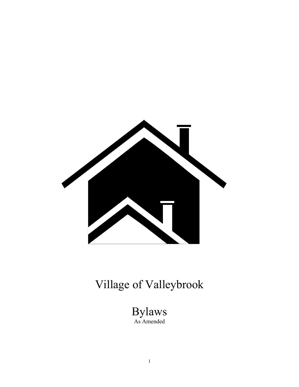

# Village of Valleybrook

Bylaws As Amended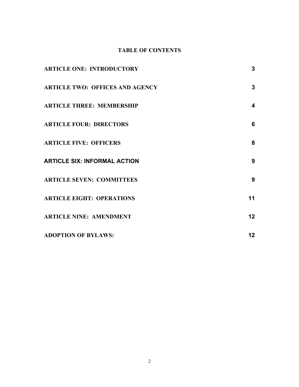# **TABLE OF CONTENTS**

| <b>ARTICLE ONE: INTRODUCTORY</b>       | 3               |
|----------------------------------------|-----------------|
| <b>ARTICLE TWO: OFFICES AND AGENCY</b> | 3               |
| <b>ARTICLE THREE: MEMBERSHIP</b>       | 4               |
| <b>ARTICLE FOUR: DIRECTORS</b>         | 6               |
| <b>ARTICLE FIVE: OFFICERS</b>          | 8               |
| <b>ARTICLE SIX: INFORMAL ACTION</b>    | 9               |
| <b>ARTICLE SEVEN: COMMITTEES</b>       | 9               |
| <b>ARTICLE EIGHT: OPERATIONS</b>       | 11              |
| <b>ARTICLE NINE: AMENDMENT</b>         | 12 <sub>2</sub> |
| <b>ADOPTION OF BYLAWS:</b>             | 12 <sub>2</sub> |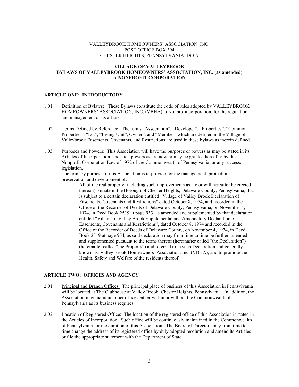#### VALLEYBROOK HOMEOWNERS' ASSOCIATION, INC. POST OFFICE BOX 394 CHESTER HEIGHTS, PENNSYLVANIA 19017

#### **VILLAGE OF VALLEYBROOK BYLAWS OF VALLEYBROOK HOMEOWNERS' ASSOCIATION, INC. (as amended) A NONPROFIT CORPORATION**

# **ARTICLE ONE: INTRODUCTORY**

- 1.01 Definition of Bylaws: These Bylaws constitute the code of rules adopted by VALLEYBROOK HOMEOWNERS' ASSOCIATION, INC. (VBHA), a Nonprofit corporation, for the regulation and management of its affairs.
- 1.02 Terms Defined by Reference: The terms "Association", "Developer", "Properties", "Common Properties", "Lot", "Living Unit", Owner", and "Member" which are defined in the Village of Valleybrook Easements, Covenants, and Restrictions are used in these bylaws as therein defined.
- 1.03 Purposes and Powers: This Association will have the purposes or powers as may be stated in its Articles of Incorporation, and such powers as are now or may be granted hereafter by the Nonprofit Corporation Law of 1972 of the Commonwealth of Pennsylvania, or any successor legislation.

The primary purpose of this Association is to provide for the management, protection, preservation and development of:

All of the real property (including such improvements as are or will hereafter be erected thereon), situate in the Borough of Chester Heights, Delaware County, Pennsylvania, that is subject to a certain declaration entitled "Village of Valley Brook Declaration of Easements, Covenants and Restrictions" dated October 8, 1974, and recorded in the Office of the Recorder of Deeds of Delaware County, Pennsylvania, on November 4, 1974, in Deed Book 2519 at page 933, as amended and supplemented by that declaration entitled "Village of Valley Brook Supplemental and Amendatory Declaration of Easements, Covenants and Restrictions", dated October 8, 1974 and recorded in the Office of the Recorder of Deeds of Delaware County, on November 4, 1974, in Deed Book 2519 at page 954, as said declaration may from time to time be further amended and supplemented pursuant to the terms thereof (hereinafter called "the Declaration") (hereinafter called "the Property") and referred to in such Declaration and generally known as, Valley Brook Homeowners' Association, Inc. (VBHA), and to promote the Health, Safety and Welfare of the residents thereof.

#### **ARTICLE TWO: OFFICES AND AGENCY**

- 2.01 Principal and Branch Offices: The principal place of business of this Association in Pennsylvania will be located at The Clubhouse at Valley Brook, Chester Heights, Pennsylvania. In addition, the Association may maintain other offices either within or without the Commonwealth of Pennsylvania as its business requires.
- 2.02 Location of Registered Office: The location of the registered office of this Association is stated in the Articles of Incorporation. Such office will be continuously maintained in the Commonwealth of Pennsylvania for the duration of this Association. The Board of Directors may from time to time change the address of its registered office by duly adopted resolution and amend its Articles or file the appropriate statement with the Department of State.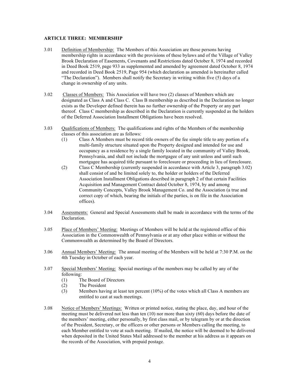#### **ARTICLE THREE: MEMBERSHIP**

- 3.01 Definition of Membership: The Members of this Association are those persons having membership rights in accordance with the provisions of these bylaws and of the Village of Valley Brook Declaration of Easements, Covenants and Restrictions dated October 8, 1974 and recorded in Deed Book 2519, page 933 as supplemented and amended by agreement dated October 8, 1974 and recorded in Deed Book 2519, Page 954 (which declaration as amended is hereinafter called "The Declaration"). Members shall notify the Secretary in writing within five (5) days of a change in ownership of any units.
- 3.02 Classes of Members: This Association will have two (2) classes of Members which are designated as Class A and Class C. Class B membership as described in the Declaration no longer exists as the Developer defined therein has no further ownership of the Property or any part thereof. Class C membership as described in the Declaration is currently suspended as the holders of the Deferred Association Installment Obligations have been resolved.
- 3.03 Qualifications of Members: The qualifications and rights of the Members of the membership classes of this association are as follows:
	- (1) Class A Members must be record title owners of the fee simple title to any portion of a multi-family structure situated upon the Property designed and intended for use and occupancy as a residence by a single family located in the community of Valley Brook, Pennsylvania, and shall not include the mortgagee of any unit unless and until such mortgagee has acquired title pursuant to foreclosure or proceeding in lieu of foreclosure.
	- (2) Class C Membership (currently suspended in accordance with Article 3, paragraph 3.02) shall consist of and be limited solely to, the holder or holders of the Deferred Association Installment Obligations described in paragraph 2 of that certain Facilities Acquisition and Management Contract dated October 8, 1974, by and among Community Concepts, Valley Brook Management Co. and the Association (a true and correct copy of which, bearing the initials of the parties, is on file in the Association offices).
- 3.04 Assessments: General and Special Assessments shall be made in accordance with the terms of the Declaration.
- 3.05 Place of Members' Meeting: Meetings of Members will be held at the registered office of this Association in the Commonwealth of Pennsylvania or at any other place within or without the Commonwealth as determined by the Board of Directors.
- 3.06 Annual Members' Meeting: The annual meeting of the Members will be held at 7:30 P.M. on the 4th Tuesday in October of each year.
- 3.07 Special Members' Meeting: Special meetings of the members may be called by any of the following:
	- (1) The Board of Directors
	- (2) The President
	- (3) Members having at least ten percent (10%) of the votes which all Class A members are entitled to cast at such meetings.
- 3.08 Notice of Members' Meetings: Written or printed notice, stating the place, day, and hour of the meeting must be delivered not less than ten (10) nor more than sixty (60) days before the date of the members' meeting, either personally, by first class mail, or by telegram by or at the direction of the President, Secretary, or the officers or other persons or Members calling the meeting, to each Member entitled to vote at such meeting. If mailed, the notice will be deemed to be delivered when deposited in the United States Mail addressed to the member at his address as it appears on the records of the Association, with prepaid postage.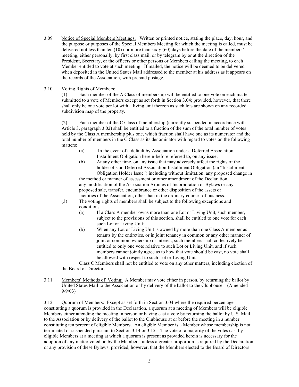- 3.09 Notice of Special Members Meetings: Written or printed notice, stating the place, day, hour, and the purpose or purposes of the Special Members Meeting for which the meeting is called, must be delivered not less than ten (10) nor more than sixty (60) days before the date of the members' meeting, either personally, by first class mail, or by telegram by or at the direction of the President, Secretary, or the officers or other persons or Members calling the meeting, to each Member entitled to vote at such meeting. If mailed, the notice will be deemed to be delivered when deposited in the United States Mail addressed to the member at his address as it appears on the records of the Association, with prepaid postage.
- 3.10 Voting Rights of Members:

(1) Each member of the A Class of membership will be entitled to one vote on each matter submitted to a vote of Members except as set forth in Section 3.04; provided, however, that there shall only be one vote per lot with a living unit thereon as such lots are shown on any recorded subdivision map of the property.

(2) Each member of the C Class of membership (currently suspended in accordance with Article 3, paragraph 3.02) shall be entitled to a fraction of the sum of the total number of votes held by the Class A membership plus one, which fraction shall have one as its numerator and the total number of members in the C Class as its denominator with regard to votes on the following matters:

- (a) In the event of a default by Association under a Deferred Association Installment Obligation herein-before referred to, on any issue;
- (b) At any other time, on any issue that may adversely affect the rights of the holder of said Deferred Association Installment Obligation (an "Installment Obligation Holder Issue") including without limitation, any proposed change in the method or manner of assessment or other amendment of the Declaration, any modification of the Association Articles of Incorporation or Bylaws or any proposed sale, transfer, encumbrance or other disposition of the assets or facilities of the Association, other than in the ordinary course of business.
- (3) The voting rights of members shall be subject to the following exceptions and conditions:
	- (a) If a Class A member owns more than one Lot or Living Unit, such member, subject to the provisions of this section, shall be entitled to one vote for each such Lot or Living Unit;
	- (b) When any Lot or Living Unit is owned by more than one Class A member as tenants by the entireties, or in joint tenancy in common or any other manner of joint or common ownership or interest, such members shall collectively be entitled to only one vote relative to such Lot or Living Unit, and if such members cannot jointly agree as to how that vote should be cast, no vote shall be allowed with respect to such Lot or Living Unit.

Class C Members shall not be entitled to vote on any other matters, including election of the Board of Directors.

3.11 Members' Methods of Voting: A Member may vote either in person, by returning the ballot by United States Mail to the Association or by delivery of the ballot to the Clubhouse. (Amended 9/9/03)

3.12 Quorum of Members: Except as set forth in Section 3.04 where the required percentage constituting a quorum is provided in the Declaration, a quorum at a meeting of Members will be eligible Members either attending the meeting in person or having cast a vote by returning the ballot by U.S. Mail to the Association or by delivery of the ballot to the Clubhouse at or before the meeting in a number constituting ten percent of eligible Members. An eligible Member is a Member whose membership is not terminated or suspended pursuant to Section 3.14 or 3.15. The vote of a majority of the votes cast by eligible Members at a meeting at which a quorum is present as provided herein is necessary for the adoption of any matter voted on by the Members, unless a greater proportion is required by the Declaration or any provision of these Bylaws; provided, however, that the Members elected to the Board of Directors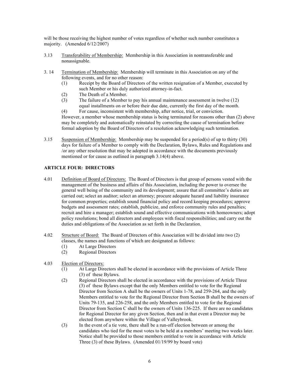will be those receiving the highest number of votes regardless of whether such number constitutes a majority. (Amended 6/12/2007)

- 3.13 Transferability of Membership: Membership in this Association in nontransferable and nonassignable.
- 3. 14 Termination of Membership: Membership will terminate in this Association on any of the following events, and for no other reason:
	- (1) Receipt by the Board of Directors of the written resignation of a Member, executed by such Member or his duly authorized attorney-in-fact.
	- (2) The Death of a Member.
	- (3) The failure of a Member to pay his annual maintenance assessment in twelve (12) equal installments on or before their due date, currently the first day of the month.

(4) For cause, inconsistent with membership, after notice, trial, or conviction. However, a member whose membership status is being terminated for reasons other than (2) above may be completely and automatically reinstated by correcting the cause of termination before formal adoption by the Board of Directors of a resolution acknowledging such termination.

3.15 Suspension of Membership: Membership may be suspended for a period(s) of up to thirty (30) days for failure of a Member to comply with the Declaration, Bylaws, Rules and Regulations and /or any other resolution that may be adopted in accordance with the documents previously mentioned or for cause as outlined in paragraph 3.14(4) above.

# **ARTICLE FOUR: DIRECTORS**

- 4.01 Definition of Board of Directors: The Board of Directors is that group of persons vested with the management of the business and affairs of this Association, including the power to oversee the general well being of the community and its development; assure that all committee's duties are carried out; select an auditor; select an attorney; procure adequate hazard and liability insurance for common properties; establish sound financial policy and record keeping procedures; approve budgets and assessment rates; establish, publicize, and enforce community rules and penalties; recruit and hire a manager; establish sound and effective communications with homeowners; adopt policy resolutions; bond all directors and employees with fiscal responsibilities; and carry out the duties and obligations of the Association as set forth in the Declaration.
- 4.02 Structure of Board: The Board of Directors of this Association will be divided into two (2) classes, the names and functions of which are designated as follows:
	- (1) At Large Directors
	- (2) Regional Directors

# 4.03 Election of Directors:

- (1) At Large Directors shall be elected in accordance with the provisions of Article Three (3) of these Bylaws.
- (2) Regional Directors shall be elected in accordance with the provisions of Article Three (3) of these Bylaws except that the only Members entitled to vote for the Regional Director from Section A shall be the owners of Units 1-78, and 259-264, and the only Members entitled to vote for the Regional Director from Section B shall be the owners of Units 79-135, and 226-258, and the only Members entitled to vote for the Regional Director from Section C shall be the owners of Units 136-225. If there are no candidates for Regional Director for any given Section, then and in that event a Director may be elected from anywhere within the Village of Valleybrook.
- (3) In the event of a tie vote, there shall be a run-off election between or among the candidates who tied for the most votes to be held at a members' meeting two weeks later. Notice shall be provided to those members entitled to vote in accordance with Article Three (3) of these Bylaws. (Amended 01/19/99 by board vote)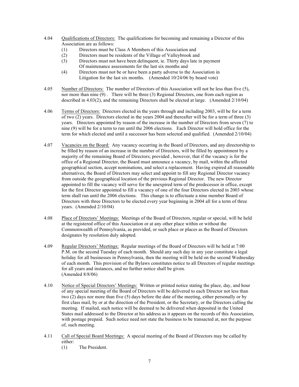- 4.04 Qualifications of Directors: The qualifications for becoming and remaining a Director of this Association are as follows:
	- (1) Directors must be Class A Members of this Association and
	- (2) Directors must be residents of the Village of Valleybrook and
	- (3) Directors must not have been delinquent, ie. Thirty days late in payment Of maintenance assessments for the last six months and
	- (4) Directors must not be or have been a party adverse to the Association in Litigation for the last six months. (Amended 10/24/06 by board vote)
- 4.05 Number of Directors: The number of Directors of this Association will not be less than five (5), nor more than nine (9) . There will be three (3) Regional Directors, one from each region as described in 4.03(2), and the remaining Directors shall be elected at large. (Amended 2/10/04)
- 4.06 Terms of Directors: Directors elected in the years through and including 2003, will be for a term of two (2) years. Directors elected in the years 2004 and thereafter will be for a term of three (3) years. Directors appointed by reason of the increase in the number of Directors from seven (7) to nine (9) will be for a term to run until the 2006 elections. Each Director will hold office for the term for which elected and until a successor has been selected and qualified. (Amended 2/10/04)
- 4.07 Vacancies on the Board: Any vacancy occurring in the Board of Directors, and any directorship to be filled by reason of an increase in the number of Directors, will be filled by appointment by a majority of the remaining Board of Directors; provided , however, that if the vacancy is for the office of a Regional Director, the Board must announce a vacancy, by mail, within the affected geographical section, accept nominations, and select a replacement. Having expired all reasonable alternatives, the Board of Directors may select and appoint to fill any Regional Director vacancy from outside the geographical location of the previous Regional Director. The new Director appointed to fill the vacancy will serve for the unexpired term of the predecessor in office, except for the first Director appointed to fill a vacancy of one of the four Directors elected in 2003 whose term shall run until the 2006 elections. This change is to effectuate a nine member Board of Directors with three Directors to be elected every year beginning in 2004 all for a term of three years. (Amended 2/10/04)
- 4.08 Place of Directors' Meetings: Meetings of the Board of Directors, regular or special, will be held at the registered office of this Association or at any other place within or without the Commonwealth of Pennsylvania, as provided, or such place or places as the Board of Directors designates by resolution duly adopted.
- 4.09 Regular Directors' Meetings: Regular meetings of the Board of Directors will be held at 7:00 P.M. on the second Tuesday of each month. Should any such day in any year constitute a legal holiday for all businesses in Pennsylvania, then the meeting will be held on the second Wednesday of each month. This provision of the Bylaws constitutes notice to all Directors of regular meetings for all years and instances, and no further notice shall be given. (Amended 8/8/06)
- 4.10 Notice of Special Directors' Meetings: Written or printed notice stating the place, day, and hour of any special meeting of the Board of Directors will be delivered to each Director not less than two (2) days nor more than five (5) days before the date of the meeting, either personally or by first class mail, by or at the direction of the President, or the Secretary, or the Directors calling the meeting. If mailed, such notice will be deemed to be delivered when deposited in the United States mail addressed to the Director at his address as it appears on the records of this Association, with postage prepaid. Such notice need not state the business to be transacted at, nor the purpose of, such meeting.
- 4.11 Call of Special Board Meetings: A special meeting of the Board of Directors may be called by either:
	- (1) The President.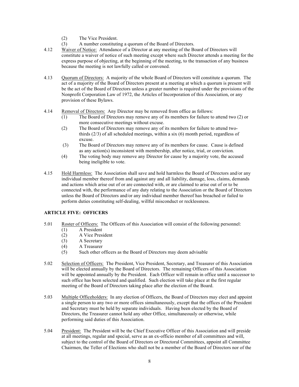- (2) The Vice President.
- (3) A number constituting a quorum of the Board of Directors.
- 4.12 Waiver of Notice: Attendance of a Director at any meeting of the Board of Directors will constitute a waiver of notice of such meeting except where such Director attends a meeting for the express purpose of objecting, at the beginning of the meeting, to the transaction of any business because the meeting is not lawfully called or convened.
- 4.13 Quorum of Directors: A majority of the whole Board of Directors will constitute a quorum. The act of a majority of the Board of Directors present at a meeting at which a quorum is present will be the act of the Board of Directors unless a greater number is required under the provisions of the Nonprofit Corporation Law of 1972, the Articles of Incorporation of this Association, or any provision of these Bylaws.
- 4.14 Removal of Directors: Any Director may be removed from office as follows:
	- (1) The Board of Directors may remove any of its members for failure to attend two (2) or more consecutive meetings without excuse.
	- (2) The Board of Directors may remove any of its members for failure to attend twothirds (2/3) of all scheduled meetings, within a six (6) month period, regardless of excuse.
	- (3) The Board of Directors may remove any of its members for cause. Cause is defined as any action(s) inconsistent with membership, after notice, trial, or conviction.
	- (4) The voting body may remove any Director for cause by a majority vote, the accused being ineligible to vote.
- 4.15 Hold Harmless: The Association shall save and hold harmless the Board of Directors and/or any individual member thereof from and against any and all liability, damage, loss, claims, demands and actions which arise out of or are connected with, or are claimed to arise out of or to be connected with, the performance of any duty relating to the Association or the Board of Directors unless the Board of Directors and/or any individual member thereof has breached or failed to perform duties constituting self-dealing, willful misconduct or recklessness.

# **ARTICLE FIVE: OFFICERS**

- 5.01 Roster of Officers: The Officers of this Association will consist of the following personnel:
	- (1) A President
		- (2) A Vice President
		- (3) A Secretary
		- (4) A Treasurer
		- (5) Such other officers as the Board of Directors may deem advisable
- 5.02 Selection of Officers: The President, Vice President, Secretary, and Treasurer of this Association will be elected annually by the Board of Directors. The remaining Officers of this Association will be appointed annually by the President. Each Officer will remain in office until a successor to such office has been selected and qualified. Such election will take place at the first regular meeting of the Board of Directors taking place after the election of the Board.
- 5.03 Multiple Officeholders: In any election of Officers, the Board of Directors may elect and appoint a single person to any two or more offices simultaneously, except that the offices of the President and Secretary must be held by separate individuals. Having been elected by the Board of Directors, the Treasurer cannot hold any other Office, simultaneously or otherwise, while performing said duties of this Association.
- 5.04 President: The President will be the Chief Executive Officer of this Association and will preside at all meetings, regular and special, serve as an ex-officio member of all committees and will, subject to the control of the Board of Directors or Directoral Committees, appoint all Committee Chairmen, the Teller of Elections who shall not be a member of the Board of Directors nor of the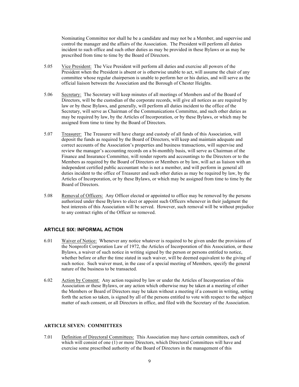Nominating Committee nor shall he be a candidate and may not be a Member, and supervise and control the manager and the affairs of the Association. The President will perform all duties incident to such office and such other duties as may be provided in these Bylaws or as may be prescribed from time to time by the Board of Directors.

- 5.05 Vice President: The Vice President will perform all duties and exercise all powers of the President when the President is absent or is otherwise unable to act, will assume the chair of any committee whose regular chairperson is unable to perform her or his duties, and will serve as the official liaison between the Association and the Borough of Chester Heights.
- 5.06 Secretary: The Secretary will keep minutes of all meetings of Members and of the Board of Directors, will be the custodian of the corporate records, will give all notices as are required by law or by these Bylaws, and generally, will perform all duties incident to the office of the Secretary, will serve as Chairman of the Communications Committee, and such other duties as may be required by law, by the Articles of Incorporation, or by these Bylaws, or which may be assigned from time to time by the Board of Directors.
- 5.07 Treasurer: The Treasurer will have charge and custody of all funds of this Association, will deposit the funds as required by the Board of Directors, will keep and maintain adequate and correct accounts of the Association's properties and business transactions, will supervise and review the manager's accounting records on a bi-monthly basis, will serve as Chairman of the Finance and Insurance Committee, will render reports and accountings to the Directors or to the Members as required by the Board of Directors or Members or by law, will act as liaison with an independent certified public accountant who is not a member, and will perform in general all duties incident to the office of Treasurer and such other duties as may be required by law, by the Articles of Incorporation, or by these Bylaws, or which may be assigned from time to time by the Board of Directors.
- 5.08 Removal of Officers: Any Officer elected or appointed to office may be removed by the persons authorized under these Bylaws to elect or appoint such Officers whenever in their judgment the best interests of this Association will be served. However, such removal will be without prejudice to any contract rights of the Officer so removed.

# **ARTICLE SIX: INFORMAL ACTION**

- 6.01 Waiver of Notice: Whenever any notice whatever is required to be given under the provisions of the Nonprofit Corporation Law of 1972, the Articles of Incorporation of this Association, or these Bylaws, a waiver of such notice in writing signed by the person or persons entitled to notice, whether before or after the time stated in such waiver, will be deemed equivalent to the giving of such notice. Such waiver must, in the case of a special meeting of Members, specify the general nature of the business to be transacted.
- 6.02 Action by Consent: Any action required by law or under the Articles of Incorporation of this Association or these Bylaws, or any action which otherwise may be taken at a meeting of either the Members or Board of Directors may be taken without a meeting if a consent in writing, setting forth the action so taken, is signed by all of the persons entitled to vote with respect to the subject matter of such consent, or all Directors in office, and filed with the Secretary of the Association.

# **ARTICLE SEVEN: COMMITTEES**

7.01 Definition of Directoral Committees: This Association may have certain committees, each of which will consist of one (1) or more Directors, which Directoral Committees will have and exercise some prescribed authority of the Board of Directors in the management of this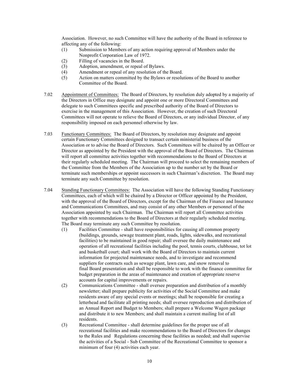Association. However, no such Committee will have the authority of the Board in reference to affecting any of the following:

- (1) Submission to Members of any action requiring approval of Members under the Nonprofit Corporation Law of 1972.
- (2) Filling of vacancies in the Board.
- (3) Adoption, amendment, or repeal of Bylaws.
- (4) Amendment or repeal of any resolution of the Board.
- (5) Action on matters committed by the Bylaws or resolutions of the Board to another Committee of the Board.
- 7.02 Appointment of Committees: The Board of Directors, by resolution duly adopted by a majority of the Directors in Office may designate and appoint one or more Directoral Committees and delegate to such Committees specific and prescribed authority of the Board of Directors to exercise in the management of this Association. However, the creation of such Directoral Committees will not operate to relieve the Board of Directors, or any individual Director, of any responsibility imposed on each personnel otherwise by law.
- 7.03 Functionary Committees: The Board of Directors, by resolution may designate and appoint certain Functionary Committees designed to transact certain ministerial business of the Association or to advise the Board of Directors. Such Committees will be chaired by an Officer or Director as appointed by the President with the approval of the Board of Directors. The Chairman will report all committee activities together with recommendations to the Board of Directors at their regularly scheduled meeting. The Chairman will proceed to select the remaining members of the Committee from the Members of the Association up to the number set by the Board or terminate such memberships or appoint successors in such Chairman's discretion. The Board may terminate any such Committee by resolution.
- 7.04 Standing Functionary Committees: The Association will have the following Standing Functionary Committees, each of which will be chaired by a Director or Officer appointed by the President, with the approval of the Board of Directors, except for the Chairman of the Finance and Insurance and Communications Committees, and may consist of any other Members or personnel of the Association appointed by such Chairman. The Chairman will report all Committee activities together with recommendations to the Board of Directors at their regularly scheduled meeting. The Board may terminate any such Committee by resolution.
	- (1) Facilities Committee shall have responsibilities for causing all common property (buildings, grounds, sewage treatment plant, roads, lights, sidewalks, and recreational facilities) to be maintained in good repair; shall oversee the daily maintenance and operation of all recreational facilities including the pool, tennis courts, clubhouse, tot lot and basketball court; shall work with the Board of Directors to maintain current information for projected maintenance needs, and to investigate and recommend suppliers for contracts such as sewage plant, lawn care, and snow removal to final Board presentation and shall be responsible to work with the finance committee for budget preparation in the areas of maintenance and creation of appropriate reserve accounts for capital improvements or repairs.
	- (2) Communications Committee shall oversee preparation and distribution of a monthly newsletter; shall prepare publicity for activities of the Social Committee and make residents aware of any special events or meetings; shall be responsible for creating a letterhead and facilitate all printing needs; shall oversee reproduction and distribution of an Annual Report and Budget to Members; shall prepare a Welcome Wagon package and distribute it to new Members; and shall maintain a current mailing list of all residents.
	- (3) Recreational Committee shall determine guidelines for the proper use of all recreational facilities and make recommendations to the Board of Directors for changes to the Rules and Regulations concerning these facilities as needed; and shall supervise the activities of a Social - Sub Committee of the Recreational Committee to sponsor a minimum of four (4) activities each year.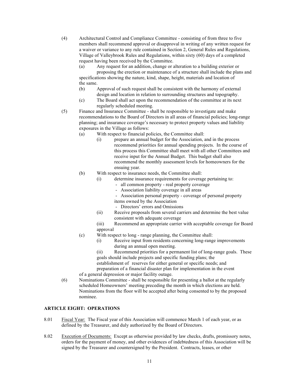(4) Architectural Control and Compliance Committee - consisting of from three to five members shall recommend approval or disapproval in writing of any written request for a waiver or variance to any rule contained in Section 2, General Rules and Regulations, Village of Valleybrook Rules and Regulations, within sixty (60) days of a completed request having been received by the Committee.

(a) Any request for an addition, change or alteration to a building exterior or proposing the erection or maintenance of a structure shall include the plans and specifications showing the nature, kind, shape, height, materials and location of the same.

- (b) Approval of such request shall be consistent with the harmony of external design and location in relation to surrounding structures and topography.
- (c) The Board shall act upon the recommendation of the committee at its next regularly scheduled meeting.
- (5) Finance and Insurance Committee shall be responsible to investigate and make recommendations to the Board of Directors in all areas of financial policies; long-range planning; and insurance coverage's necessary to protect property values and liability exposures in the Village as follows:
	- (a) With respect to financial policies, the Committee shall:
		- (i) prepare an annual budget for the Association, and in the process recommend priorities for annual spending projects. In the course of this process this Committee shall meet with all other Committees and receive input for the Annual Budget. This budget shall also recommend the monthly assessment levels for homeowners for the ensuing year.
	- (b) With respect to insurance needs, the Committee shall:
		- (i) determine insurance requirements for coverage pertaining to:
			- all common property real property coverage
			- Association liability coverage in all areas
			- Association personal property coverage of personal property
			- items owned by the Association
			- Directors' errors and Omissions
		- (ii) Receive proposals from several carriers and determine the best value consistent with adequate coverage
		- (iii) Recommend an appropriate carrier with acceptable coverage for Board approval
	- (c) With respect to long range planning, the Committee shall:
		- (i) Receive input from residents concerning long-range improvements during an annual open meeting.

(ii) Recommend priorities for a permanent list of long-range goals. These goals should include projects and specific funding plans; the

establishment of reserves for either general or specific needs; and

preparation of a financial disaster plan for implementation in the event of a general depression or major facility outage.

(6) Nominations Committee - shall be responsible for presenting a ballot at the regularly scheduled Homeowners' meeting preceding the month in which elections are held. Nominations from the floor will be accepted after being consented to by the proposed nominee.

#### **ARTICLE EIGHT: OPERATIONS**

- 8.01 Fiscal Year: The Fiscal year of this Association will commence March 1 of each year, or as defined by the Treasurer, and duly authorized by the Board of Directors.
- 8.02 Execution of Documents: Except as otherwise provided by law checks, drafts, promissory notes, orders for the payment of money, and other evidences of indebtedness of this Association will be signed by the Treasurer and countersigned by the President. Contracts, leases, or other